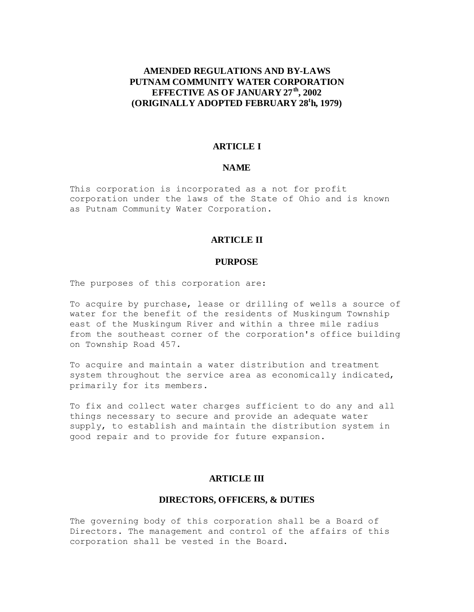# **AMENDED REGULATIONS AND BY-LAWS PUTNAM COMMUNITY WATER CORPORATION EFFECTIVE AS OF JANUARY 27th, 2002 (ORIGINALLY ADOPTED FEBRUARY 28<sup>t</sup> h, 1979)**

# **ARTICLE I**

#### **NAME**

This corporation is incorporated as a not for profit corporation under the laws of the State of Ohio and is known as Putnam Community Water Corporation.

### **ARTICLE II**

#### **PURPOSE**

The purposes of this corporation are:

To acquire by purchase, lease or drilling of wells a source of water for the benefit of the residents of Muskingum Township east of the Muskingum River and within a three mile radius from the southeast corner of the corporation's office building on Township Road 457.

To acquire and maintain a water distribution and treatment system throughout the service area as economically indicated, primarily for its members.

To fix and collect water charges sufficient to do any and all things necessary to secure and provide an adequate water supply, to establish and maintain the distribution system in good repair and to provide for future expansion.

### **ARTICLE III**

## **DIRECTORS, OFFICERS, & DUTIES**

The governing body of this corporation shall be a Board of Directors. The management and control of the affairs of this corporation shall be vested in the Board.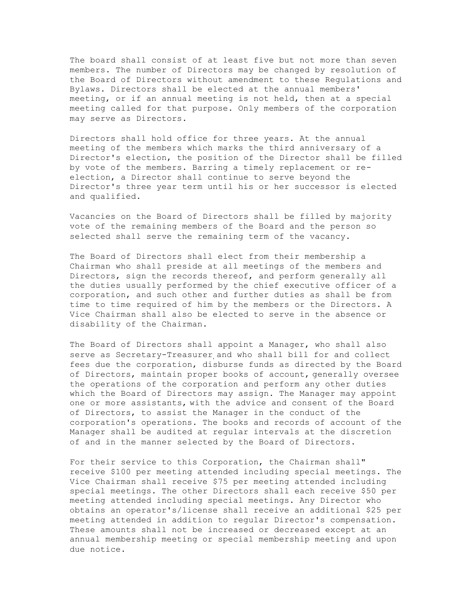The board shall consist of at least five but not more than seven members. The number of Directors may be changed by resolution of the Board of Directors without amendment to these Regulations and Bylaws. Directors shall be elected at the annual members' meeting, or if an annual meeting is not held, then at a special meeting called for that purpose. Only members of the corporation may serve as Directors.

Directors shall hold office for three years. At the annual meeting of the members which marks the third anniversary of a Director's election, the position of the Director shall be filled by vote of the members. Barring a timely replacement or reelection, a Director shall continue to serve beyond the Director's three year term until his or her successor is elected and qualified.

Vacancies on the Board of Directors shall be filled by majority vote of the remaining members of the Board and the person so selected shall serve the remaining term of the vacancy.

The Board of Directors shall elect from their membership a Chairman who shall preside at all meetings of the members and Directors, sign the records thereof, and perform generally all the duties usually performed by the chief executive officer of a corporation, and such other and further duties as shall be from time to time required of him by the members or the Directors. A Vice Chairman shall also be elected to serve in the absence or disability of the Chairman.

The Board of Directors shall appoint a Manager, who shall also serve as Secretary-Treasurer and who shall bill for and collect fees due the corporation, disburse funds as directed by the Board of Directors, maintain proper books of account, generally oversee the operations of the corporation and perform any other duties which the Board of Directors may assign. The Manager may appoint one or more assistants, with the advice and consent of the Board of Directors, to assist the Manager in the conduct of the corporation's operations. The books and records of account of the Manager shall be audited at regular intervals at the discretion of and in the manner selected by the Board of Directors.

For their service to this Corporation, the Chairman shall" receive \$100 per meeting attended including special meetings. The Vice Chairman shall receive \$75 per meeting attended including special meetings. The other Directors shall each receive \$50 per meeting attended including special meetings. Any Director who obtains an operator's/license shall receive an additional \$25 per meeting attended in addition to regular Director's compensation. These amounts shall not be increased or decreased except at an annual membership meeting or special membership meeting and upon due notice.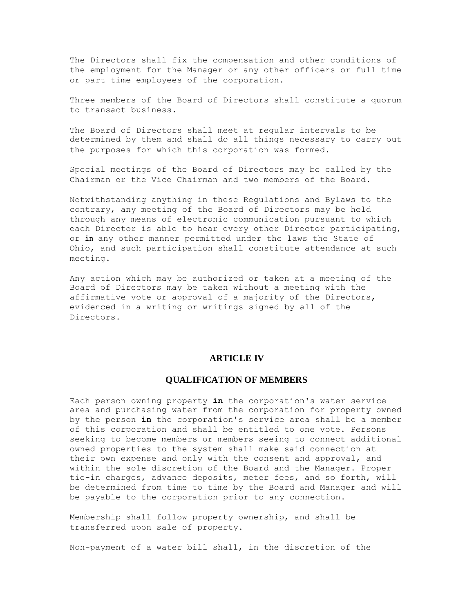The Directors shall fix the compensation and other conditions of the employment for the Manager or any other officers or full time or part time employees of the corporation.

Three members of the Board of Directors shall constitute a quorum to transact business.

The Board of Directors shall meet at regular intervals to be determined by them and shall do all things necessary to carry out the purposes for which this corporation was formed.

Special meetings of the Board of Directors may be called by the Chairman or the Vice Chairman and two members of the Board.

Notwithstanding anything in these Regulations and Bylaws to the contrary, any meeting of the Board of Directors may be held through any means of electronic communication pursuant to which each Director is able to hear every other Director participating, or **in** any other manner permitted under the laws the State of Ohio, and such participation shall constitute attendance at such meeting.

Any action which may be authorized or taken at a meeting of the Board of Directors may be taken without a meeting with the affirmative vote or approval of a majority of the Directors, evidenced in a writing or writings signed by all of the Directors.

### **ARTICLE IV**

#### **QUALIFICATION OF MEMBERS**

Each person owning property **in** the corporation's water service area and purchasing water from the corporation for property owned by the person **in** the corporation's service area shall be a member of this corporation and shall be entitled to one vote. Persons seeking to become members or members seeing to connect additional owned properties to the system shall make said connection at their own expense and only with the consent and approval, and within the sole discretion of the Board and the Manager. Proper tie-in charges, advance deposits, meter fees, and so forth, will be determined from time to time by the Board and Manager and will be payable to the corporation prior to any connection.

Membership shall follow property ownership, and shall be transferred upon sale of property.

Non-payment of a water bill shall, in the discretion of the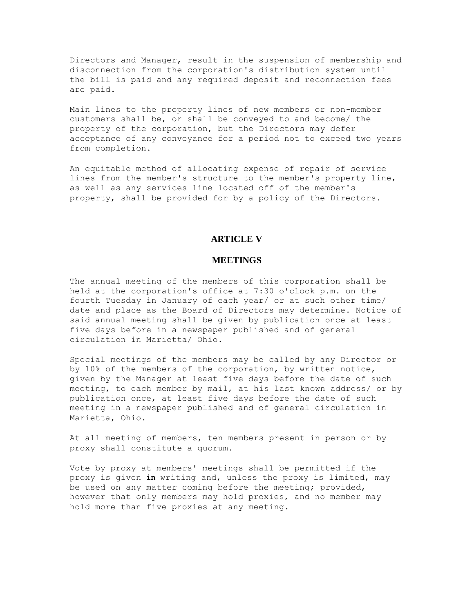Directors and Manager, result in the suspension of membership and disconnection from the corporation's distribution system until the bill is paid and any required deposit and reconnection fees are paid.

Main lines to the property lines of new members or non-member customers shall be, or shall be conveyed to and become/ the property of the corporation, but the Directors may defer acceptance of any conveyance for a period not to exceed two years from completion.

An equitable method of allocating expense of repair of service lines from the member's structure to the member's property line, as well as any services line located off of the member's property, shall be provided for by a policy of the Directors.

#### **ARTICLE V**

## **MEETINGS**

The annual meeting of the members of this corporation shall be held at the corporation's office at 7:30 o'clock p.m. on the fourth Tuesday in January of each year/ or at such other time/ date and place as the Board of Directors may determine. Notice of said annual meeting shall be given by publication once at least five days before in a newspaper published and of general circulation in Marietta/ Ohio.

Special meetings of the members may be called by any Director or by 10% of the members of the corporation, by written notice, given by the Manager at least five days before the date of such meeting, to each member by mail, at his last known address/ or by publication once, at least five days before the date of such meeting in a newspaper published and of general circulation in Marietta, Ohio.

At all meeting of members, ten members present in person or by proxy shall constitute a quorum.

Vote by proxy at members' meetings shall be permitted if the proxy is given **in** writing and, unless the proxy is limited, may be used on any matter coming before the meeting; provided, however that only members may hold proxies, and no member may hold more than five proxies at any meeting.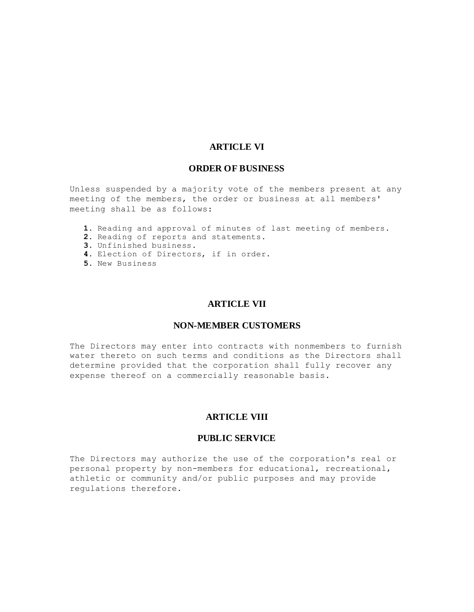### **ARTICLE VI**

### **ORDER OF BUSINESS**

Unless suspended by a majority vote of the members present at any meeting of the members, the order or business at all members' meeting shall be as follows:

- **1.** Reading and approval of minutes of last meeting of members.
- **2.** Reading of reports and statements.
- **3.** Unfinished business.
- **4.** Election of Directors, if in order.
- **5.** New Business

#### **ARTICLE VII**

### **NON-MEMBER CUSTOMERS**

The Directors may enter into contracts with nonmembers to furnish water thereto on such terms and conditions as the Directors shall determine provided that the corporation shall fully recover any expense thereof on a commercially reasonable basis.

# **ARTICLE VIII**

### **PUBLIC SERVICE**

The Directors may authorize the use of the corporation's real or personal property by non-members for educational, recreational, athletic or community and/or public purposes and may provide regulations therefore.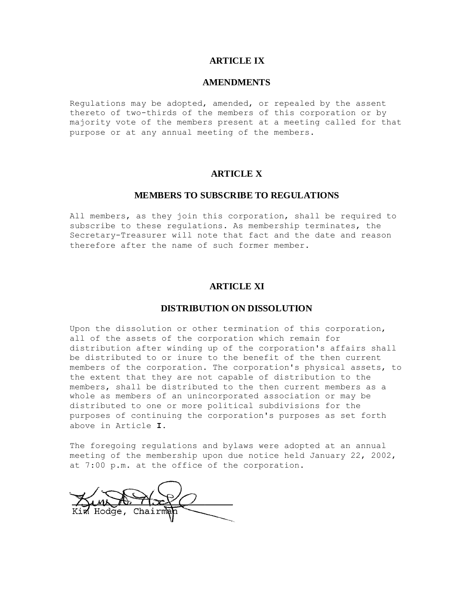# **ARTICLE IX**

#### **AMENDMENTS**

Regulations may be adopted, amended, or repealed by the assent thereto of two-thirds of the members of this corporation or by majority vote of the members present at a meeting called for that purpose or at any annual meeting of the members.

## **ARTICLE X**

# **MEMBERS TO SUBSCRIBE TO REGULATIONS**

All members, as they join this corporation, shall be required to subscribe to these regulations. As membership terminates, the Secretary-Treasurer will note that fact and the date and reason therefore after the name of such former member.

# **ARTICLE XI**

#### **DISTRIBUTION ON DISSOLUTION**

Upon the dissolution or other termination of this corporation, all of the assets of the corporation which remain for distribution after winding up of the corporation's affairs shall be distributed to or inure to the benefit of the then current members of the corporation. The corporation's physical assets, to the extent that they are not capable of distribution to the members, shall be distributed to the then current members as a whole as members of an unincorporated association or may be distributed to one or more political subdivisions for the purposes of continuing the corporation's purposes as set forth above in Article **I.** 

The foregoing regulations and bylaws were adopted at an annual meeting of the membership upon due notice held January 22, 2002, at 7:00 p.m. at the office of the corporation.

Chair